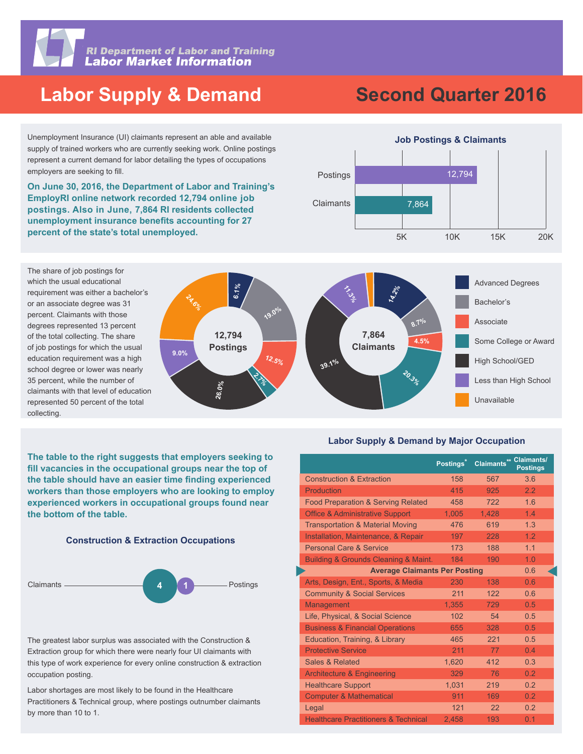

**RI Department of Labor and Training<br>Labor Market Information** 

# **Labor Supply & Demand**

Unemployment Insurance (UI) claimants represent an able and available supply of trained workers who are currently seeking work. Online postings represent a current demand for labor detailing the types of occupations employers are seeking to fill.

**On June 30, 2016, the Department of Labor and Training's percent of the state's total unemployed.** 



**EmployRI online network recorded 12,794 online job postings. Also in June, 7,864 RI residents collected unemployment insurance benefits accounting for 27** 

# **Job Postings & Claimants Second Quarter 2016**





**The table to the right suggests that employers seeking to**  fill vacancies in the occupational groups near the top of the table should have an easier time finding experienced **workers than those employers who are looking to employ experienced workers in occupational groups found near the bottom of the table.**





The greatest labor surplus was associated with the Construction & Extraction group for which there were nearly four UI claimants with this type of work experience for every online construction & extraction occupation posting.

Labor shortages are most likely to be found in the Healthcare Practitioners & Technical group, where postings outnumber claimants by more than 10 to 1.

#### **Labor Supply & Demand by Major Occupation**

|                                                 | Postings <sup>*</sup> | Claimants** Claimants/ | <b>Postings</b> |
|-------------------------------------------------|-----------------------|------------------------|-----------------|
| <b>Construction &amp; Extraction</b>            | 158                   | 567                    | 3.6             |
| Production                                      | 415                   | 925                    | 2.2             |
| <b>Food Preparation &amp; Serving Related</b>   | 458                   | 722                    | 1.6             |
| <b>Office &amp; Administrative Support</b>      | 1,005                 | 1,428                  | 1.4             |
| <b>Transportation &amp; Material Moving</b>     | 476                   | 619                    | 1.3             |
| Installation, Maintenance, & Repair             | 197                   | 228                    | 1.2             |
| <b>Personal Care &amp; Service</b>              | 173                   | 188                    | 1.1             |
| Building & Grounds Cleaning & Maint.            | 184                   | 190                    | 1.0             |
| <b>Average Claimants Per Posting</b>            | 0.6                   |                        |                 |
| Arts, Design, Ent., Sports, & Media             | 230                   | 138                    | 0.6             |
| <b>Community &amp; Social Services</b>          | 211                   | 122                    | 0.6             |
| Management                                      | 1.355                 | 729                    | 0.5             |
| Life, Physical, & Social Science                | 102                   | 54                     | 0.5             |
| <b>Business &amp; Financial Operations</b>      | 655                   | 328                    | 0.5             |
| Education, Training, & Library                  | 465                   | 221                    | 0.5             |
| <b>Protective Service</b>                       | 211                   | 77                     | 0.4             |
| Sales & Related                                 | 1,620                 | 412                    | 0.3             |
| <b>Architecture &amp; Engineering</b>           | 329                   | 76                     | 0.2             |
| <b>Healthcare Support</b>                       | 1.031                 | 219                    | 0.2             |
| <b>Computer &amp; Mathematical</b>              | 911                   | 169                    | 0.2             |
| Legal                                           | 121                   | 22                     | 0.2             |
| <b>Healthcare Practitioners &amp; Technical</b> | 2.458                 | 193                    | 0.1             |